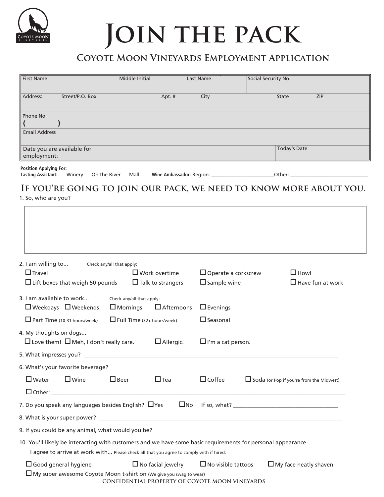

# **Join the pack**

### **Coyote Moon Vineyards Employment Application**

| <b>First Name</b>                                                                                                                  |                 | Middle Initial | Last Name | Social Security No. |            |
|------------------------------------------------------------------------------------------------------------------------------------|-----------------|----------------|-----------|---------------------|------------|
| Address:                                                                                                                           | Street/P.O. Box | Apt. #         | City      | State               | <b>ZIP</b> |
| Phone No.                                                                                                                          |                 |                |           |                     |            |
|                                                                                                                                    |                 |                |           |                     |            |
| <b>Email Address</b>                                                                                                               |                 |                |           |                     |            |
| Today's Date<br>Date you are available for<br>employment:                                                                          |                 |                |           |                     |            |
| <b>Position Applying For:</b><br><b>Tasting Assistant:</b><br>On the River<br>Winery<br>Mall<br>Wine Ambassador: Region:<br>Other: |                 |                |           |                     |            |

## **If you're going to join our pack, we need to know more about you.**

1. So, who are you?

| 2. I am willing to                                                                                           | Check any/all that apply:                                          |                          |                                                |  |                                                 |
|--------------------------------------------------------------------------------------------------------------|--------------------------------------------------------------------|--------------------------|------------------------------------------------|--|-------------------------------------------------|
| $\Box$ Travel                                                                                                |                                                                    | $\Box$ Work overtime     | $\Box$ Operate a corkscrew                     |  | $\Box$ Howl                                     |
|                                                                                                              | $\Box$ Lift boxes that weigh 50 pounds<br>$\Box$ Talk to strangers |                          | $\square$ Sample wine                          |  | $\Box$ Have fun at work                         |
| 3. I am available to work                                                                                    | Check any/all that apply:                                          |                          |                                                |  |                                                 |
| $\Box$ Weekdays $\Box$ Weekends<br>$\Box$ Mornings                                                           |                                                                    | $\Box$ Afternoons        | $\Box$ Evenings                                |  |                                                 |
| $\Box$ Part Time (10-31 hours/week)<br>$\Box$ Full Time (32+ hours/week)                                     |                                                                    |                          | $\Box$ Seasonal                                |  |                                                 |
| 4. My thoughts on dogs                                                                                       |                                                                    |                          |                                                |  |                                                 |
| $\Box$ Love them! $\Box$ Meh, I don't really care.                                                           |                                                                    | $\Box$ Allergic.         | $\Box$ I'm a cat person.                       |  |                                                 |
|                                                                                                              |                                                                    |                          |                                                |  |                                                 |
| 6. What's your favorite beverage?                                                                            |                                                                    |                          |                                                |  |                                                 |
| $\square$ Water<br>$\Box$ Wine                                                                               | $\Box$ Beer                                                        | $\Box$ Tea               | $\Box$ Coffee                                  |  | $\Box$ Soda (or Pop if you're from the Midwest) |
|                                                                                                              |                                                                    |                          |                                                |  |                                                 |
| 7. Do you speak any languages besides English? $\Box$ Yes                                                    |                                                                    | $\square$ No             |                                                |  | If so, what?                                    |
|                                                                                                              |                                                                    |                          |                                                |  |                                                 |
| 9. If you could be any animal, what would you be?                                                            |                                                                    |                          |                                                |  |                                                 |
| 10. You'll likely be interacting with customers and we have some basic requirements for personal appearance. |                                                                    |                          |                                                |  |                                                 |
| I agree to arrive at work with Please check all that you agree to comply with if hired:                      |                                                                    |                          |                                                |  |                                                 |
| $\Box$ Good general hygiene                                                                                  |                                                                    | $\Box$ No facial jewelry | $\Box$ No visible tattoos                      |  | $\Box$ My face neatly shaven                    |
| $\Box$ My super awesome Coyote Moon t-shirt on (We give you swag to wear)                                    |                                                                    |                          | CONFIDENTIAL PROPERTY OF COYOTE MOON VINEYARDS |  |                                                 |